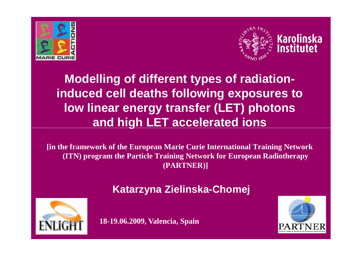



**Modelling of different types of radiationinduced cell deaths following exposures to low linear energy transfer (LET) photons and high LET accelerated ions**

**[in the framework of the European Marie Curie International Training Network (ITN) program the Particle Training Network for European Radiotherapy (PARTNER)]**





**18-19.06.2009, Valencia, Spain**

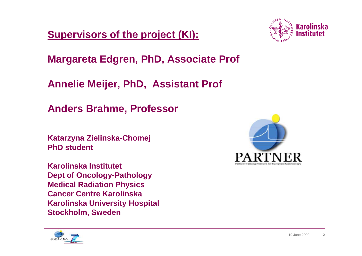**Supervisors of the project (KI):**



**Margareta Edgren, PhD, Associate Prof**

**Annelie Meijer, PhD, Assistant Prof**

**Anders Brahme, Professor**

**Katarzyna Zielinska-Chomej PhD student** 

**Karolinska Institutet Dept of Oncology-Pathology Medical Radiation Physics Cancer Centre Karolinska Karolinska University Hospital Stockholm, Sweden** 



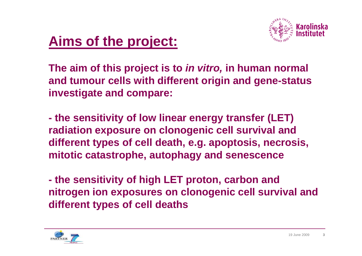

## **Aims of the project:**

**The aim of this project is to in vitro, in human normal and tumour cells with different origin and gene-status investigate and compare:**

 **the sensitivity of low linear energy transfer (LET) radiation exposure on clonogenic cell survival and different types of cell death, e.g. apoptosis, necrosis, mitotic catastrophe, autophagy and senescence**

 **the sensitivity of high LET proton, carbon and nitrogen ion exposures on clonogenic cell survival and different types of cell deaths**

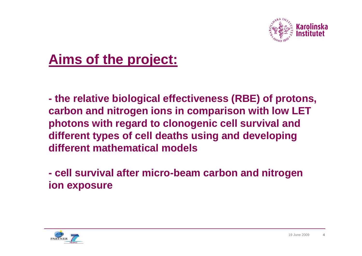

## **Aims of the project:**

 **the relative biological effectiveness (RBE) of protons, carbon and nitrogen ions in comparison with low LETphotons with regard to clonogenic cell survival and different types of cell deaths using and developingdifferent mathematical models**

 **cell survival after micro-beam carbon and nitrogenion exposure**

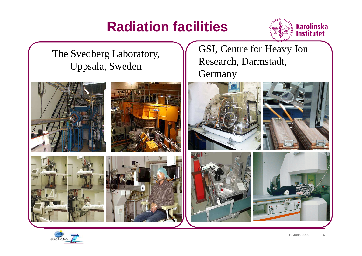# **Radiation facilities**



The Svedberg Laboratory,Uppsala, Sweden

GSI, Centre for Heavy Ion Research, Darmstadt, Germany



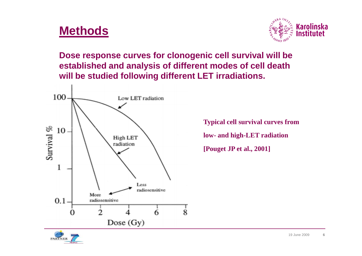### **Methods**



**Dose response curves for clonogenic cell survival will be established and analysis of different modes of cell death will be studied following different LET irradiations.** 



**Typical cell survival curves from low- and high-LET radiation[Pouget JP et al., 2001]**

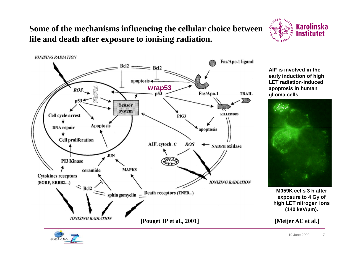#### **Some of the mechanisms influencing the cellular choice between life and death after exposure to ionising radiation.**



**AIF is involved in the early induction of high LET radiation-induced apoptosis in human glioma cells**

**Karolinska** Institutet

 $\sqrt{S_{\rm k}^{K}}$   $I_{N}$ 



**M059K cells 3 h after exposure to 4 Gy of high LET nitrogen ions (140 keV/µm).**

**[Meijer AE et al.]**

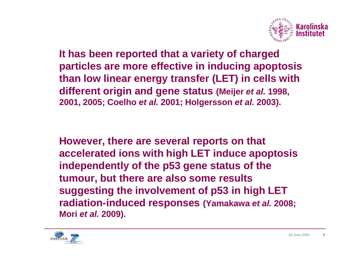

**It has been reported that a variety of charged particles are more effective in inducing apoptosis than low linear energy transfer (LET) in cells withdifferent origin and gene status (Meijer et al. 1998, 2001, 2005; Coelho et al. 2001; Holgersson et al. 2003).** 

**However, there are several reports on that accelerated ions with high LET induce apoptosis independently of the p53 gene status of the tumour, but there are also some results suggesting the involvement of p53 in high LET radiation-induced responses (Yamakawa et al. 2008; Mori et al. 2009).** 

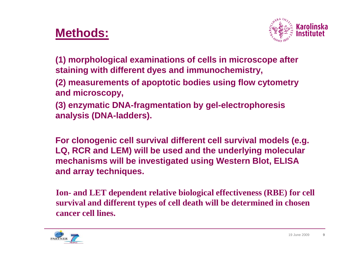### **Methods:**



**(1) morphological examinations of cells in microscope after staining with different dyes and immunochemistry,**

- **(2) measurements of apoptotic bodies using flow cytometryand microscopy,**
- **(3) enzymatic DNA-fragmentation by gel-electrophoresis analysis (DNA-ladders).**

**For clonogenic cell survival different cell survival models (e.g. LQ, RCR and LEM) will be used and the underlying molecular mechanisms will be investigated using Western Blot, ELISA and array techniques.**

**Ion- and LET dependent relative biological effectiveness (RBE) for cell survival and different types of cell death will be determined in chosen cancer cell lines.**

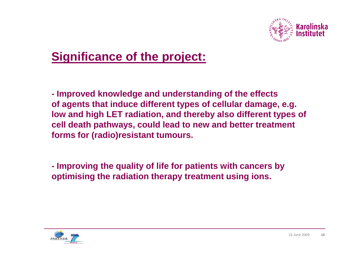

## **Significance of the project:**

**- Improved knowledge and understanding of the effects of agents that induce different types of cellular damage, e.g. low and high LET radiation, and thereby also different types of cell death pathways, could lead to new and better treatment forms for (radio)resistant tumours.**

**- Improving the quality of life for patients with cancers by optimising the radiation therapy treatment using ions.**